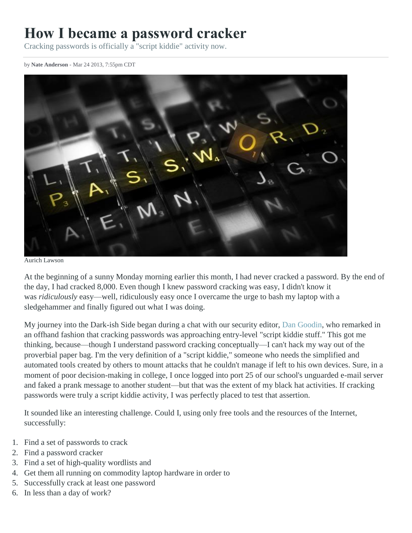# **How I became a password cracker**

Cracking passwords is officially a "script kiddie" activity now.

by **[Nate Anderson](http://arstechnica.com/author/nate-anderson/)** - Mar 24 2013, 7:55pm CDT



Aurich Lawson

At the beginning of a sunny Monday morning earlier this month, I had never cracked a password. By the end of the day, I had cracked 8,000. Even though I knew password cracking was easy, I didn't know it was *ridiculously* easy—well, ridiculously easy once I overcame the urge to bash my laptop with a sledgehammer and finally figured out what I was doing.

My journey into the Dark-ish Side began during a chat with our security editor, [Dan Goodin,](http://arstechnica.com/author/dan-goodin/) who remarked in an offhand fashion that cracking passwords was approaching entry-level "script kiddie stuff." This got me thinking, because—though I understand password cracking conceptually—I can't hack my way out of the proverbial paper bag. I'm the very definition of a "script kiddie," someone who needs the simplified and automated tools created by others to mount attacks that he couldn't manage if left to his own devices. Sure, in a moment of poor decision-making in college, I once logged into port 25 of our school's unguarded e-mail server and faked a prank message to another student—but that was the extent of my black hat activities. If cracking passwords were truly a script kiddie activity, I was perfectly placed to test that assertion.

It sounded like an interesting challenge. Could I, using only free tools and the resources of the Internet, successfully:

- 1. Find a set of passwords to crack
- 2. Find a password cracker
- 3. Find a set of high-quality wordlists and
- 4. Get them all running on commodity laptop hardware in order to
- 5. Successfully crack at least one password
- 6. In less than a day of work?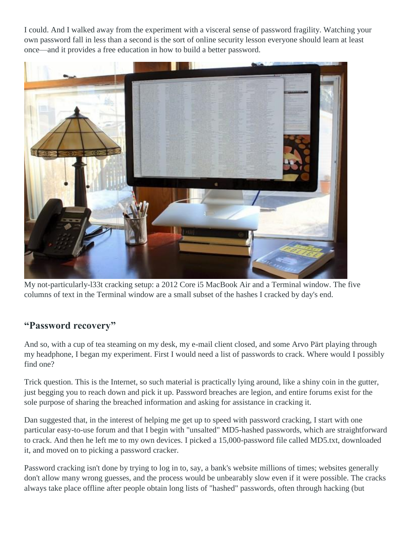I could. And I walked away from the experiment with a visceral sense of password fragility. Watching your own password fall in less than a second is the sort of online security lesson everyone should learn at least once—and it provides a free education in how to build a better password.



My not-particularly-l33t cracking setup: a 2012 Core i5 MacBook Air and a Terminal window. The five columns of text in the Terminal window are a small subset of the hashes I cracked by day's end.

## **"Password recovery"**

And so, with a cup of tea steaming on my desk, my e-mail client closed, and some Arvo Pärt playing through my headphone, I began my experiment. First I would need a list of passwords to crack. Where would I possibly find one?

Trick question. This is the Internet, so such material is practically lying around, like a shiny coin in the gutter, just begging you to reach down and pick it up. Password breaches are legion, and entire forums exist for the sole purpose of sharing the breached information and asking for assistance in cracking it.

Dan suggested that, in the interest of helping me get up to speed with password cracking, I start with one particular easy-to-use forum and that I begin with "unsalted" MD5-hashed passwords, which are straightforward to crack. And then he left me to my own devices. I picked a 15,000-password file called MD5.txt, downloaded it, and moved on to picking a password cracker.

Password cracking isn't done by trying to log in to, say, a bank's website millions of times; websites generally don't allow many wrong guesses, and the process would be unbearably slow even if it were possible. The cracks always take place offline after people obtain long lists of "hashed" passwords, often through hacking (but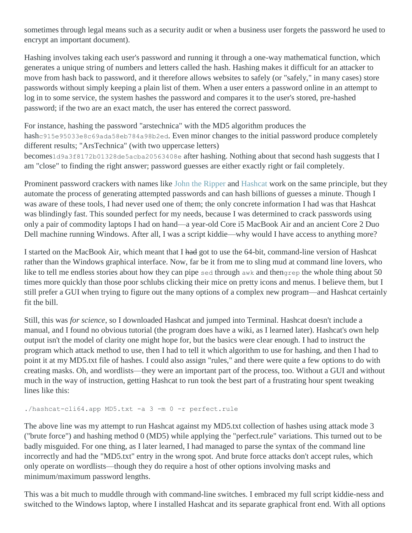sometimes through legal means such as a security audit or when a business user forgets the password he used to encrypt an important document).

Hashing involves taking each user's password and running it through a one-way mathematical function, which generates a unique string of numbers and letters called the hash. Hashing makes it difficult for an attacker to move from hash back to password, and it therefore allows websites to safely (or "safely," in many cases) store passwords without simply keeping a plain list of them. When a user enters a password online in an attempt to log in to some service, the system hashes the password and compares it to the user's stored, pre-hashed password; if the two are an exact match, the user has entered the correct password.

For instance, hashing the password "arstechnica" with the MD5 algorithm produces the hashc915e95033e8c69ada58eb784a98b2ed. Even minor changes to the initial password produce completely different results; "ArsTechnica" (with two uppercase letters)

becomes1d9a3f8172b01328de5acba20563408e after hashing. Nothing about that second hash suggests that I am "close" to finding the right answer; password guesses are either exactly right or fail completely.

Prominent password crackers with names like [John the Ripper](http://www.openwall.com/john/) and [Hashcat](http://hashcat.net/hashcat/) work on the same principle, but they automate the process of generating attempted passwords and can hash billions of guesses a minute. Though I was aware of these tools, I had never used one of them; the only concrete information I had was that Hashcat was blindingly fast. This sounded perfect for my needs, because I was determined to crack passwords using only a pair of commodity laptops I had on hand—a year-old Core i5 MacBook Air and an ancient Core 2 Duo Dell machine running Windows. After all, I was a script kiddie—why would I have access to anything more?

I started on the MacBook Air, which meant that I had got to use the 64-bit, command-line version of Hashcat rather than the Windows graphical interface. Now, far be it from me to sling mud at command line lovers, who like to tell me endless stories about how they can pipe sed through awk and thengrep the whole thing about 50 times more quickly than those poor schlubs clicking their mice on pretty icons and menus. I believe them, but I still prefer a GUI when trying to figure out the many options of a complex new program—and Hashcat certainly fit the bill.

Still, this was *for science*, so I downloaded Hashcat and jumped into Terminal. Hashcat doesn't include a manual, and I found no obvious tutorial (the program does have a wiki, as I learned later). Hashcat's own help output isn't the model of clarity one might hope for, but the basics were clear enough. I had to instruct the program which attack method to use, then I had to tell it which algorithm to use for hashing, and then I had to point it at my MD5.txt file of hashes. I could also assign "rules," and there were quite a few options to do with creating masks. Oh, and wordlists—they were an important part of the process, too. Without a GUI and without much in the way of instruction, getting Hashcat to run took the best part of a frustrating hour spent tweaking lines like this:

```
./hashcat-cli64.app MD5.txt -a 3 -m 0 -r perfect.rule
```
The above line was my attempt to run Hashcat against my MD5.txt collection of hashes using attack mode 3 ("brute force") and hashing method 0 (MD5) while applying the "perfect.rule" variations. This turned out to be badly misguided. For one thing, as I later learned, I had managed to parse the syntax of the command line incorrectly and had the "MD5.txt" entry in the wrong spot. And brute force attacks don't accept rules, which only operate on wordlists—though they do require a host of other options involving masks and minimum/maximum password lengths.

This was a bit much to muddle through with command-line switches. I embraced my full script kiddie-ness and switched to the Windows laptop, where I installed Hashcat and its separate graphical front end. With all options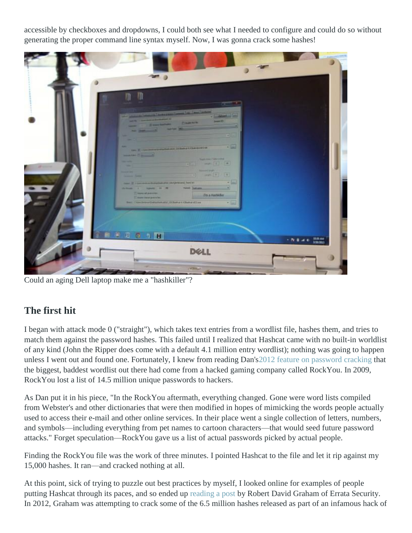accessible by checkboxes and dropdowns, I could both see what I needed to configure and could do so without generating the proper command line syntax myself. Now, I was gonna crack some hashes!

| Country<br><b>Service Construction</b><br>the party and the second control of the control of the control of the control of the control of the control of |                                                                                                                                                                                                                                                                                                                                                      |                                                                                                                                                                                                                                                                                                                                                                                                                                                                             |
|----------------------------------------------------------------------------------------------------------------------------------------------------------|------------------------------------------------------------------------------------------------------------------------------------------------------------------------------------------------------------------------------------------------------------------------------------------------------------------------------------------------------|-----------------------------------------------------------------------------------------------------------------------------------------------------------------------------------------------------------------------------------------------------------------------------------------------------------------------------------------------------------------------------------------------------------------------------------------------------------------------------|
| <b>FILT</b><br><b>Names (Second)</b>                                                                                                                     |                                                                                                                                                                                                                                                                                                                                                      |                                                                                                                                                                                                                                                                                                                                                                                                                                                                             |
|                                                                                                                                                          |                                                                                                                                                                                                                                                                                                                                                      |                                                                                                                                                                                                                                                                                                                                                                                                                                                                             |
|                                                                                                                                                          | tion. If this incompetent and included this is then<br><b>Service Classics</b><br>--<br>The Deal (Inc. and Det of the Assessment Contract), The United States<br>chines a special of the basic control of<br><b>Time danner</b><br><b>Do a Históille</b><br>27 more based precedes.<br>their Clim (interest) whether and 200 kets at Chatter dillaw. | $-1$<br>$\frac{1}{\sqrt{2}}\left[\begin{array}{cc} \frac{1}{\sqrt{2}} & \frac{1}{\sqrt{2}} \\ \frac{1}{\sqrt{2}} & \frac{1}{\sqrt{2}} \end{array}\right]\frac{1}{\sqrt{2}}\frac{1}{\sqrt{2}}\frac{1}{\sqrt{2}}\frac{1}{\sqrt{2}}\frac{1}{\sqrt{2}}\frac{1}{\sqrt{2}}\frac{1}{\sqrt{2}}\frac{1}{\sqrt{2}}\frac{1}{\sqrt{2}}\frac{1}{\sqrt{2}}\frac{1}{\sqrt{2}}\frac{1}{\sqrt{2}}\frac{1}{\sqrt{2}}\frac{1}{\sqrt{2}}\frac{1}{\sqrt{2}}\frac$<br>$-7 - 0$<br>$+144$<br>tiled |

Could an aging Dell laptop make me a "hashkiller"?

## **The first hit**

I began with attack mode 0 ("straight"), which takes text entries from a wordlist file, hashes them, and tries to match them against the password hashes. This failed until I realized that Hashcat came with no built-in worldlist of any kind (John the Ripper does come with a default 4.1 million entry wordlist); nothing was going to happen unless I went out and found one. Fortunately, I knew from reading Dan'[s2012 feature on password cracking](http://arstechnica.com/security/2012/08/passwords-under-assault/) that the biggest, baddest wordlist out there had come from a hacked gaming company called RockYou. In 2009, RockYou lost a list of 14.5 million unique passwords to hackers.

As Dan put it in his piece, "In the RockYou aftermath, everything changed. Gone were word lists compiled from Webster's and other dictionaries that were then modified in hopes of mimicking the words people actually used to access their e-mail and other online services. In their place went a single collection of letters, numbers, and symbols—including everything from pet names to cartoon characters—that would seed future password attacks." Forget speculation—RockYou gave us a list of actual passwords picked by actual people.

Finding the RockYou file was the work of three minutes. I pointed Hashcat to the file and let it rip against my 15,000 hashes. It ran—and cracked nothing at all.

At this point, sick of trying to puzzle out best practices by myself, I looked online for examples of people putting Hashcat through its paces, and so ended up [reading a post](http://erratasec.blogspot.com/2012/06/linkedin-vs-password-cracking.html) by Robert David Graham of Errata Security. In 2012, Graham was attempting to crack some of the 6.5 million hashes released as part of an infamous hack of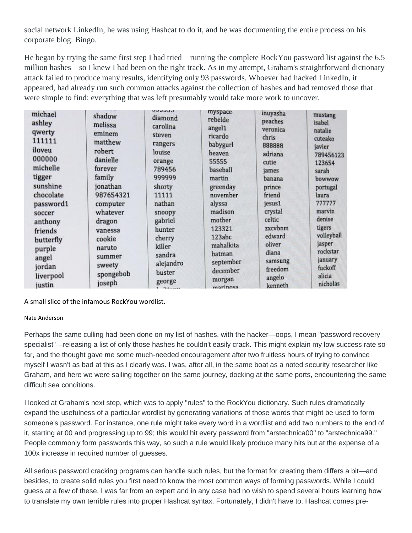social network LinkedIn, he was using Hashcat to do it, and he was documenting the entire process on his corporate blog. Bingo.

He began by trying the same first step I had tried—running the complete RockYou password list against the 6.5 million hashes—so I knew I had been on the right track. As in my attempt, Graham's straightforward dictionary attack failed to produce many results, identifying only 93 passwords. Whoever had hacked LinkedIn, it appeared, had already run such common attacks against the collection of hashes and had removed those that were simple to find; everything that was left presumably would take more work to uncover.

| michael   | shadow    | uuuuu<br>diamond | myspace               | inuyasha        | mustang             |
|-----------|-----------|------------------|-----------------------|-----------------|---------------------|
| ashley    | melissa   | carolina         | rebelde               | peaches         | isabel              |
| qwerty    | eminem    | steven           | angel1<br>ricardo     | veronica        | natalie             |
| 111111    | matthew   | rangers          | babygurl              | chris<br>888888 | cuteako             |
| iloveu    | robert    | louise           | heaven                | adriana         | javier              |
| 000000    | danielle  | orange           | 55555                 | cutie           | 789456123<br>123654 |
| michelle  | forever   | 789456           | baseball              | james           | sarah               |
| tigger    | family    | 999999           | martin                | banana          | bowwow              |
| sunshine  | jonathan  | shorty           | greenday              | prince          | portugal            |
| chocolate | 987654321 | 11111            | november              | friend          | laura               |
| password1 | computer  | nathan           | alyssa                | jesus1          | 777777              |
| soccer    | whatever  | snoopy           | madison               | crystal         | marvin              |
| anthony   | dragon    | gabriel          | mother                | celtic          | denise              |
| friends   | vanessa   | hunter           | 123321                | zxcvbnm         | tigers              |
| butterfly | cookie    | cherry           | 123abc                | edward          | volleyball          |
| purple    | naruto    | killer           | mahalkita             | oliver<br>diana | jasper<br>rockstar  |
| angel     | summer    | sandra           | batman                | samsung         | january             |
| jordan    | sweety    | alejandro        | september<br>december | freedom         | fuckoff             |
| liverpool | spongebob | buster           |                       | angelo          | alicia              |
| justin    | joseph    | george           | morgan<br>marinosa    | kenneth         | nicholas            |

A small slice of the infamous RockYou wordlist.

### Nate Anderson

Perhaps the same culling had been done on my list of hashes, with the hacker—oops, I mean "password recovery specialist"—releasing a list of only those hashes he couldn't easily crack. This might explain my low success rate so far, and the thought gave me some much-needed encouragement after two fruitless hours of trying to convince myself I wasn't as bad at this as I clearly was. I was, after all, in the same boat as a noted security researcher like Graham, and here we were sailing together on the same journey, docking at the same ports, encountering the same difficult sea conditions.

I looked at Graham's next step, which was to apply "rules" to the RockYou dictionary. Such rules dramatically expand the usefulness of a particular wordlist by generating variations of those words that might be used to form someone's password. For instance, one rule might take every word in a wordlist and add two numbers to the end of it, starting at 00 and progressing up to 99; this would hit every password from "arstechnica00" to "arstechnica99." People commonly form passwords this way, so such a rule would likely produce many hits but at the expense of a 100x increase in required number of guesses.

All serious password cracking programs can handle such rules, but the format for creating them differs a bit—and besides, to create solid rules you first need to know the most common ways of forming passwords. While I could guess at a few of these, I was far from an expert and in any case had no wish to spend several hours learning how to translate my own terrible rules into proper Hashcat syntax. Fortunately, I didn't have to. Hashcat comes pre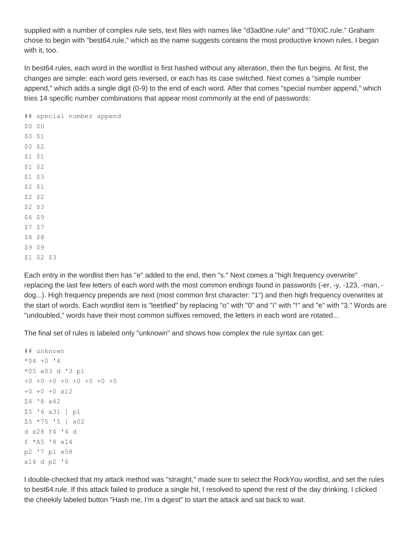supplied with a number of complex rule sets, text files with names like "d3ad0ne.rule" and "T0XIC.rule." Graham chose to begin with "best64.rule," which as the name suggests contains the most productive known rules. I began with it, too.

In best64.rules, each word in the wordlist is first hashed without any alteration, then the fun begins. At first, the changes are simple: each word gets reversed, or each has its case switched. Next comes a "simple number append," which adds a single digit (0-9) to the end of each word. After that comes "special number append," which tries 14 specific number combinations that appear most commonly at the end of passwords:

## special number append \$0 \$0 \$0 \$1 \$0 \$2 \$1 \$1 \$1 \$2 \$1 \$3 \$2 \$1 \$2 \$2 \$2 \$3 \$6 \$9 \$7 \$7 \$8 \$8 \$9 \$9 \$1 \$2 \$3

Each entry in the wordlist then has "e" added to the end, then "s." Next comes a "high frequency overwrite" replacing the last few letters of each word with the most common endings found in passwords (-er, -y, -123, -man, dog...). High frequency prepends are next (most common first character: "1") and then high frequency overwrites at the start of words. Each wordlist item is "leetified" by replacing "o" with "0" and "i" with "!" and "e" with "3." Words are "undoubled," words have their most common suffixes removed, the letters in each word are rotated...

The final set of rules is labeled only "unknown" and shows how complex the rule syntax can get:

```
## unknown
*04 +0 '4
*05 x03 d '3 p1
+0 +0 +0 +0 +0 +0 +0 +0
+0 +0 +0 x12
Z4 '8 x42
Z5 '6 x31 ] p1
Z5 *75 '5 { x02
d x28 Y4 '4 d
f *A5 '8 x14
p2 '7 p1 x58
x14 d p2 '6
```
I double-checked that my attack method was "straight," made sure to select the RockYou wordlist, and set the rules to best64.rule. If this attack failed to produce a single hit, I resolved to spend the rest of the day drinking. I clicked the cheekily labeled button "Hash me, I'm a digest" to start the attack and sat back to wait.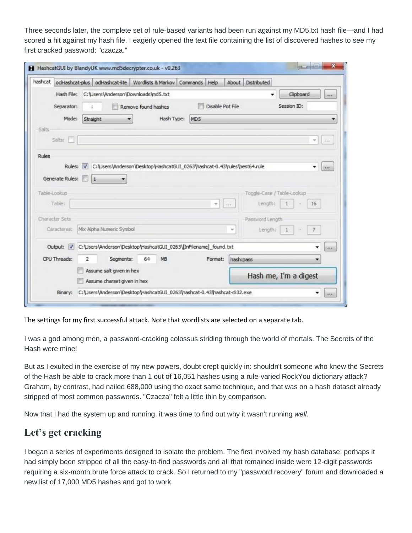Three seconds later, the complete set of rule-based variants had been run against my MD5.txt hash file—and I had scored a hit against my hash file. I eagerly opened the text file containing the list of discovered hashes to see my first cracked password: "czacza."

|              |                 |              |                                                         | odHashcat-plus odHashcat-lite Wordlists & Markov                         | Commands<br>Help                                                 | About     | <b>Distributed</b> |                            |                                  |
|--------------|-----------------|--------------|---------------------------------------------------------|--------------------------------------------------------------------------|------------------------------------------------------------------|-----------|--------------------|----------------------------|----------------------------------|
|              | Hash File:      |              |                                                         | C:\Users\Anderson\Downloads\md5.txt                                      |                                                                  |           | ٠                  | Clipboard                  | $\mathbf{r}$ is the $\mathbf{r}$ |
|              | Separator:      |              |                                                         | Remove found hashes                                                      | Disable Pot File                                                 |           |                    | Session ID:                |                                  |
|              | Mode:           | Straight     |                                                         | Hash Type:                                                               | MD5                                                              |           |                    |                            | ۰                                |
| Salts        |                 |              |                                                         |                                                                          |                                                                  |           |                    |                            |                                  |
|              | Salts:          |              |                                                         |                                                                          |                                                                  |           |                    |                            | w.<br>$\lambda + \lambda$        |
| Rules        |                 |              |                                                         |                                                                          |                                                                  |           |                    |                            |                                  |
|              | Rules: V        |              |                                                         | C:\Users\Anderson\Desktop\HashcatGUI_0263\hashcat-0.43\rules\best64.rule |                                                                  |           |                    |                            | ۰<br>$\cdots$                    |
|              |                 |              |                                                         |                                                                          |                                                                  |           |                    |                            |                                  |
|              | Generate Rules: | $\mathbf{1}$ |                                                         |                                                                          |                                                                  |           |                    |                            |                                  |
| Table-Lookup |                 |              |                                                         |                                                                          |                                                                  |           |                    | Toggle-Case / Table-Lookup |                                  |
|              | Table:          |              |                                                         |                                                                          | ٠                                                                | 666       | Length:            | 16                         |                                  |
|              | Character Sets  |              |                                                         |                                                                          |                                                                  |           | Password Length    |                            |                                  |
|              | Caracteres:     |              | Mix Alpha Numeric Symbol                                |                                                                          |                                                                  | v         | Length:            |                            |                                  |
|              |                 |              |                                                         |                                                                          | C:\Users\Anderson\Desktop\HashcatGUI_0263\[InFilename]_found.txt |           |                    |                            |                                  |
|              | Output: V       |              |                                                         |                                                                          |                                                                  |           |                    |                            |                                  |
|              | CPU Threads:    | 2            | Segments:                                               | 64<br>MB                                                                 | Format:                                                          | hash:pass |                    |                            | ٠                                |
|              |                 |              | Assume salt given in hex<br>Assume charset given in hex |                                                                          |                                                                  |           |                    | Hash me, I'm a digest      |                                  |

The settings for my first successful attack. Note that wordlists are selected on a separate tab.

I was a god among men, a password-cracking colossus striding through the world of mortals. The Secrets of the Hash were mine!

But as I exulted in the exercise of my new powers, doubt crept quickly in: shouldn't someone who knew the Secrets of the Hash be able to crack more than 1 out of 16,051 hashes using a rule-varied RockYou dictionary attack? Graham, by contrast, had nailed 688,000 using the exact same technique, and that was on a hash dataset already stripped of most common passwords. "Czacza" felt a little thin by comparison.

Now that I had the system up and running, it was time to find out why it wasn't running *well*.

### **Let's get cracking**

I began a series of experiments designed to isolate the problem. The first involved my hash database; perhaps it had simply been stripped of all the easy-to-find passwords and all that remained inside were 12-digit passwords requiring a six-month brute force attack to crack. So I returned to my "password recovery" forum and downloaded a new list of 17,000 MD5 hashes and got to work.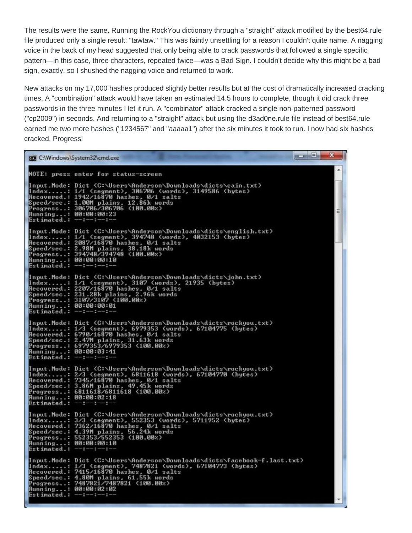The results were the same. Running the RockYou dictionary through a "straight" attack modified by the best64.rule file produced only a single result: "tawtaw." This was faintly unsettling for a reason I couldn't quite name. A nagging voice in the back of my head suggested that only being able to crack passwords that followed a single specific pattern—in this case, three characters, repeated twice—was a Bad Sign. I couldn't decide why this might be a bad sign, exactly, so I shushed the nagging voice and returned to work.

New attacks on my 17,000 hashes produced slightly better results but at the cost of dramatically increased cracking times. A "combination" attack would have taken an estimated 14.5 hours to complete, though it did crack three passwords in the three minutes I let it run. A "combinator" attack cracked a single non-patterned password ("cp2009") in seconds. And returning to a "straight" attack but using the d3ad0ne.rule file instead of best64.rule earned me two more hashes ("1234567" and "aaaaa1") after the six minutes it took to run. I now had six hashes cracked. Progress!

| <b>GET</b> C:\Windows\System32\cmd.exe                |                                                                                                                                                                                                                                                                   | <u>sanisla</u> | $\mathbf x$ |
|-------------------------------------------------------|-------------------------------------------------------------------------------------------------------------------------------------------------------------------------------------------------------------------------------------------------------------------|----------------|-------------|
|                                                       | NOTE: press enter for status-screen                                                                                                                                                                                                                               |                |             |
| Running: 00:00:00:23<br>Estimated.: $---:---$         | [Input.Mode: Dict (C:\Users\Anderson\Downloads\dicts\cain.txt)<br>Index: 1/1 (segment), 306706 (words), 3149586 (bytes)<br>Recovered.: 1942/16870 hashes, 0/1 salts<br>Speed/sec.: 1.00M plains, 12.86k words<br>Progress: 306706/306706 (100.00%)                |                | É           |
| Running: 00:00:00:10<br>Estimated.: $--:--:---$       | [Input.Mode: Dict (C:\Users\Anderson\Downloads\dicts\english.txt)<br>Index: 1/1 (segment), 394748 (words), 4032153 (bytes)<br>Recovered.: 2087/16870 hashes, 0/1 salts<br>Speed/sec.: 2.98M plains, 38.18k words<br>Progress: 394748/394748 (100.00%)             |                |             |
| Running: 00:00:00:01<br>Estimated.: $--:---:---:--$   | (Input.Mode: Dict (C:\Users\Anderson\Downloads\dicts\john.txt)<br>Index: 1/1 (segment), 3107 (words), 21935 (bytes)<br>Recovered.: 2207/16870 hashes, 0/1 salts<br>Speed/sec.: 231.28k plains, 2.96k words<br>Progress: 3107/3107 (100.00%)                       |                |             |
| Running: 00:00:03:41<br>$Estinated.: --- : --- : ---$ | Input.Mode: Dict (C:\Users\Anderson\Downloads\dicts\rockyou.txt)<br>Index: 1/3 (segment), 6979353 (words), 67104775 (bytes)<br>Recovered.: 6790/16870 hashes, 0/1 salts<br>Speed/sec.: 2.47M plains, 31.63k words<br>Progress: 6979353/6979353 (100.00%)          |                |             |
| Running: 00:00:02:18<br>Estimated.: $---:---:---$     | [Input.Mode: Dict (C:\Users\Anderson\Downloads\dicts\rockyou.txt)<br>Index: 2/3 (segment), 6811618 (words), 67104770 (bytes)<br>Recovered.: 7345/16870 hashes, 0/1 salts<br>Speed/sec.: 3.86M plains, 49.45k words<br>Progress: 6811618/6811618 (100.00%)         |                |             |
| Running: 00:00:00:10<br>Estimated.: $--:----:----:--$ | Input.Mode: Dict (C:\Users\Anderson\Downloads\dicts\rockyou.txt)<br>Index: 3/3 (segment), 552353 (words), 5711952 (bytes)<br>Recovered.: 7362/16870 hashes, 0/1 salts<br>Speed/sec.: 4.39M plains, 56.24k words<br>Progress: 552353/552353 (100.00%)              |                |             |
| Running: 00:00:02:02<br>Estimated.: $---:------$      | [Input.Mode: Dict (C:\Users\Anderson\Downloads\dicts\facebook-f.last.txt)<br>Index: 1/3 (segment), 7487821 (words), 67104773 (bytes)<br>Recovered.: 7415/16870 hashes, 0/1 salts<br>Speed/sec.: 4.80M plains, 61.55k words<br>Progress: 7487821/7487821 (100.00%) |                |             |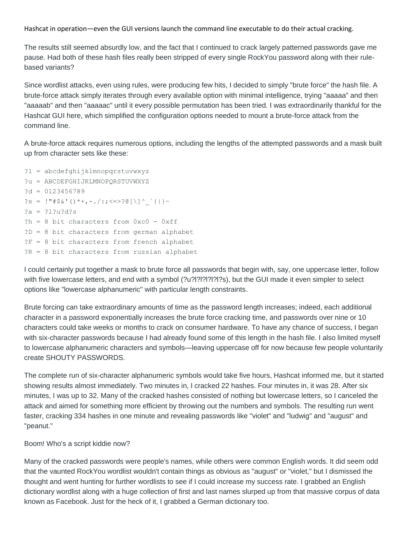Hashcat in operation—even the GUI versions launch the command line executable to do their actual cracking.

The results still seemed absurdly low, and the fact that I continued to crack largely patterned passwords gave me pause. Had both of these hash files really been stripped of every single RockYou password along with their rulebased variants?

Since wordlist attacks, even using rules, were producing few hits, I decided to simply "brute force" the hash file. A brute-force attack simply iterates through every available option with minimal intelligence, trying "aaaaa" and then "aaaaab" and then "aaaaac" until it every possible permutation has been tried. I was extraordinarily thankful for the Hashcat GUI here, which simplified the configuration options needed to mount a brute-force attack from the command line.

A brute-force attack requires numerous options, including the lengths of the attempted passwords and a mask built up from character sets like these:

```
?l = abcdefghijklmnopqrstuvwxyz
?u = ABCDEFGHIJKLMNOPQRSTUVWXYZ
?d = 0123456789
?s = !"#$&'()*+,-./:;<=>?@[\]^_`{|}~
?a = ?l?u?d?s
?h = 8 bit characters from 0xc0 - 0xff
?D = 8 bit characters from german alphabet
?F = 8 bit characters from french alphabet
?R = 8 bit characters from russian alphabet
```
I could certainly put together a mask to brute force all passwords that begin with, say, one uppercase letter, follow with five lowercase letters, and end with a symbol (?u?l?l?l?l?l?l?s), but the GUI made it even simpler to select options like "lowercase alphanumeric" with particular length constraints.

Brute forcing can take extraordinary amounts of time as the password length increases; indeed, each additional character in a password exponentially increases the brute force cracking time, and passwords over nine or 10 characters could take weeks or months to crack on consumer hardware. To have any chance of success, I began with six-character passwords because I had already found some of this length in the hash file. I also limited myself to lowercase alphanumeric characters and symbols—leaving uppercase off for now because few people voluntarily create SHOUTY PASSWORDS.

The complete run of six-character alphanumeric symbols would take five hours, Hashcat informed me, but it started showing results almost immediately. Two minutes in, I cracked 22 hashes. Four minutes in, it was 28. After six minutes, I was up to 32. Many of the cracked hashes consisted of nothing but lowercase letters, so I canceled the attack and aimed for something more efficient by throwing out the numbers and symbols. The resulting run went faster, cracking 334 hashes in one minute and revealing passwords like "violet" and "ludwig" and "august" and "peanut."

### Boom! Who's a script kiddie now?

Many of the cracked passwords were people's names, while others were common English words. It did seem odd that the vaunted RockYou wordlist wouldn't contain things as obvious as "august" or "violet," but I dismissed the thought and went hunting for further wordlists to see if I could increase my success rate. I grabbed an English dictionary wordlist along with a huge collection of first and last names slurped up from that massive corpus of data known as Facebook. Just for the heck of it, I grabbed a German dictionary too.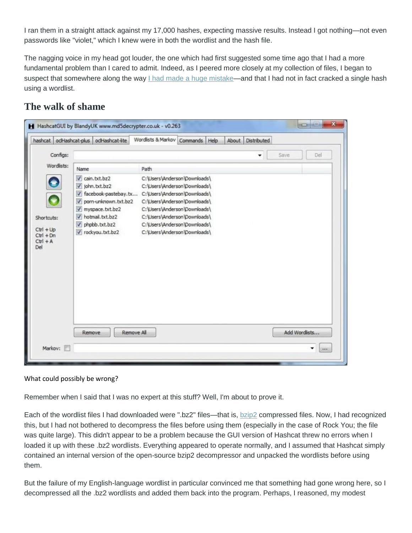I ran them in a straight attack against my 17,000 hashes, expecting massive results. Instead I got nothing—not even passwords like "violet," which I knew were in both the wordlist and the hash file.

The nagging voice in my head got louder, the one which had first suggested some time ago that I had a more fundamental problem than I cared to admit. Indeed, as I peered more closely at my collection of files, I began to suspect that somewhere along the way [I had made a huge mistake—](http://vimeo.com/22342619)and that I had not in fact cracked a single hash using a wordlist.

## **The walk of shame**

|                                                               | hashcat odHashcat-plus odHashcat-lite                                                                                                                                              | Wordlists & Markov                                                                                                                                                                                                                                           | Commands<br>Help | <b>Distributed</b><br>About |               |      |
|---------------------------------------------------------------|------------------------------------------------------------------------------------------------------------------------------------------------------------------------------------|--------------------------------------------------------------------------------------------------------------------------------------------------------------------------------------------------------------------------------------------------------------|------------------|-----------------------------|---------------|------|
| Configs:                                                      |                                                                                                                                                                                    |                                                                                                                                                                                                                                                              |                  | ۰                           | Save<br>Del   |      |
| Wordlists:                                                    | Name                                                                                                                                                                               | Path                                                                                                                                                                                                                                                         |                  |                             |               |      |
| Shortcuts:<br>$CtrI + Up$<br>$Ctrl + Dn$<br>$CtrI + A$<br>Del | V cain.txt.bz2<br>v john.bxt.bz2<br>T facebook-pastebay.tx<br>porn-unknown.txt.bz2<br>$\overline{v}$<br>myspace.txt.bz2<br>V hotmail.txt.bz2<br>phpbb.txt.bz2<br>v rockyou.txt.bz2 | C:\Users\Anderson\Downloads\<br>C:\Users\Anderson\Downloads\<br>C:\Users\Anderson\Downloads\<br>C:\Users\Anderson\Downloads\<br>C:\Users\Anderson\Downloads\<br>C:\Users\Anderson\Downloads\<br>C:\Users\Anderson\Downloads\<br>C:\Users\Anderson\Downloads\ |                  |                             |               |      |
| Markov:                                                       | Remove                                                                                                                                                                             | Remove All                                                                                                                                                                                                                                                   |                  |                             | Add Wordlists | 2888 |

### What could possibly be wrong?

Remember when I said that I was no expert at this stuff? Well, I'm about to prove it.

Each of the wordlist files I had downloaded were ".bz2" files—that is, [bzip2](http://en.wikipedia.org/wiki/Bzip2) compressed files. Now, I had recognized this, but I had not bothered to decompress the files before using them (especially in the case of Rock You; the file was quite large). This didn't appear to be a problem because the GUI version of Hashcat threw no errors when I loaded it up with these .bz2 wordlists. Everything appeared to operate normally, and I assumed that Hashcat simply contained an internal version of the open-source bzip2 decompressor and unpacked the wordlists before using them.

But the failure of my English-language wordlist in particular convinced me that something had gone wrong here, so I decompressed all the .bz2 wordlists and added them back into the program. Perhaps, I reasoned, my modest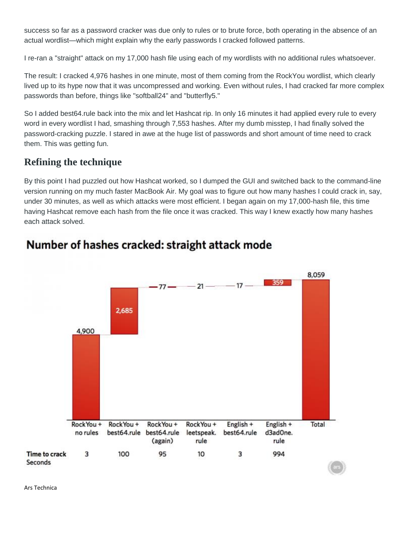success so far as a password cracker was due only to rules or to brute force, both operating in the absence of an actual wordlist—which might explain why the early passwords I cracked followed patterns.

I re-ran a "straight" attack on my 17,000 hash file using each of my wordlists with no additional rules whatsoever.

The result: I cracked 4,976 hashes in one minute, most of them coming from the RockYou wordlist, which clearly lived up to its hype now that it was uncompressed and working. Even without rules, I had cracked far more complex passwords than before, things like "softball24" and "butterfly5."

So I added best64.rule back into the mix and let Hashcat rip. In only 16 minutes it had applied every rule to every word in every wordlist I had, smashing through 7,553 hashes. After my dumb misstep, I had finally solved the password-cracking puzzle. I stared in awe at the huge list of passwords and short amount of time need to crack them. This was getting fun.

### **Refining the technique**

By this point I had puzzled out how Hashcat worked, so I dumped the GUI and switched back to the command-line version running on my much faster MacBook Air. My goal was to figure out how many hashes I could crack in, say, under 30 minutes, as well as which attacks were most efficient. I began again on my 17,000-hash file, this time having Hashcat remove each hash from the file once it was cracked. This way I knew exactly how many hashes each attack solved.



## Number of hashes cracked: straight attack mode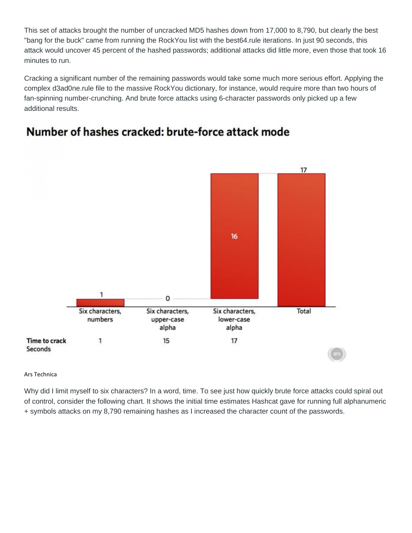This set of attacks brought the number of uncracked MD5 hashes down from 17,000 to 8,790, but clearly the best "bang for the buck" came from running the RockYou list with the best64.rule iterations. In just 90 seconds, this attack would uncover 45 percent of the hashed passwords; additional attacks did little more, even those that took 16 minutes to run.

Cracking a significant number of the remaining passwords would take some much more serious effort. Applying the complex d3ad0ne.rule file to the massive RockYou dictionary, for instance, would require more than two hours of fan-spinning number-crunching. And brute force attacks using 6-character passwords only picked up a few additional results.



## Number of hashes cracked: brute-force attack mode

Ars Technica

Why did I limit myself to six characters? In a word, time. To see just how quickly brute force attacks could spiral out of control, consider the following chart. It shows the initial time estimates Hashcat gave for running full alphanumeric + symbols attacks on my 8,790 remaining hashes as I increased the character count of the passwords.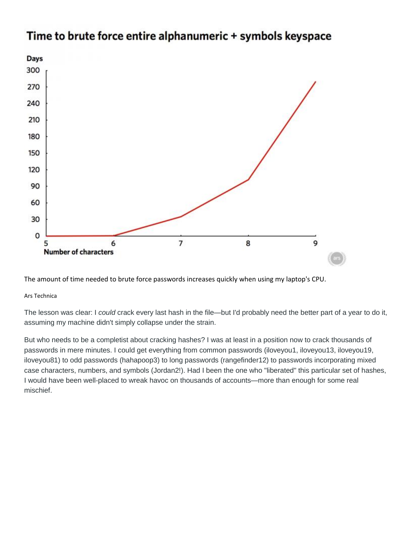

## Time to brute force entire alphanumeric + symbols keyspace

The amount of time needed to brute force passwords increases quickly when using my laptop's CPU.

### Ars Technica

The lesson was clear: I *could* crack every last hash in the file—but I'd probably need the better part of a year to do it, assuming my machine didn't simply collapse under the strain.

But who needs to be a completist about cracking hashes? I was at least in a position now to crack thousands of passwords in mere minutes. I could get everything from common passwords (iloveyou1, iloveyou13, iloveyou19, iloveyou81) to odd passwords (hahapoop3) to long passwords (rangefinder12) to passwords incorporating mixed case characters, numbers, and symbols (Jordan2!). Had I been the one who "liberated" this particular set of hashes, I would have been well-placed to wreak havoc on thousands of accounts—more than enough for some real mischief.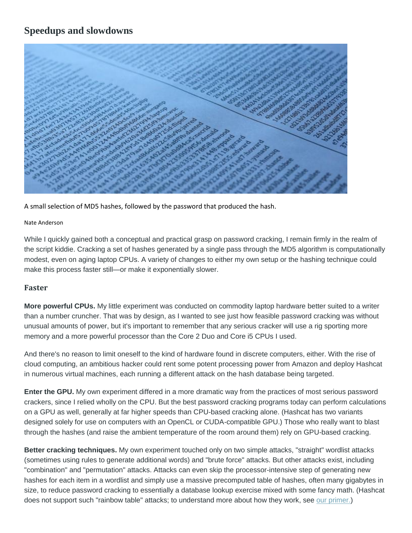## **Speedups and slowdowns**



A small selection of MD5 hashes, followed by the password that produced the hash.

### Nate Anderson

While I quickly gained both a conceptual and practical grasp on password cracking, I remain firmly in the realm of the script kiddie. Cracking a set of hashes generated by a single pass through the MD5 algorithm is computationally modest, even on aging laptop CPUs. A variety of changes to either my own setup or the hashing technique could make this process faster still—or make it exponentially slower.

### **Faster**

**More powerful CPUs.** My little experiment was conducted on commodity laptop hardware better suited to a writer than a number cruncher. That was by design, as I wanted to see just how feasible password cracking was without unusual amounts of power, but it's important to remember that any serious cracker will use a rig sporting more memory and a more powerful processor than the Core 2 Duo and Core i5 CPUs I used.

And there's no reason to limit oneself to the kind of hardware found in discrete computers, either. With the rise of cloud computing, an ambitious hacker could rent some potent processing power from Amazon and deploy Hashcat in numerous virtual machines, each running a different attack on the hash database being targeted.

**Enter the GPU.** My own experiment differed in a more dramatic way from the practices of most serious password crackers, since I relied wholly on the CPU. But the best password cracking programs today can perform calculations on a GPU as well, generally at far higher speeds than CPU-based cracking alone. (Hashcat has two variants designed solely for use on computers with an OpenCL or CUDA-compatible GPU.) Those who really want to blast through the hashes (and raise the ambient temperature of the room around them) rely on GPU-based cracking.

**Better cracking techniques.** My own experiment touched only on two simple attacks, "straight" wordlist attacks (sometimes using rules to generate additional words) and "brute force" attacks. But other attacks exist, including "combination" and "permutation" attacks. Attacks can even skip the processor-intensive step of generating new hashes for each item in a wordlist and simply use a massive precomputed table of hashes, often many gigabytes in size, to reduce password cracking to essentially a database lookup exercise mixed with some fancy math. (Hashcat does not support such "rainbow table" attacks; to understand more about how they work, see [our primer.\)](http://arstechnica.com/security/2012/08/passwords-under-assault/3/)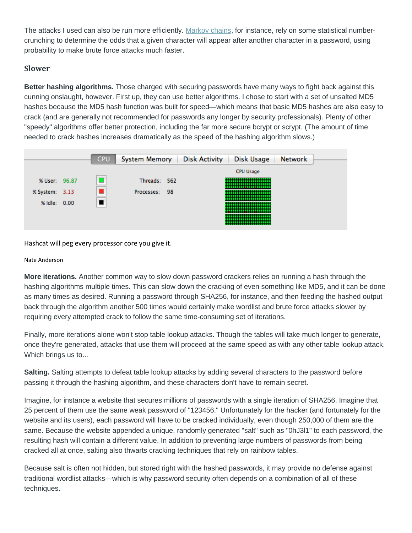The attacks I used can also be run more efficiently. [Markov chains,](http://blog.spiderlabs.com/2012/07/hashcat-per-position-markov-chains.html) for instance, rely on some statistical numbercrunching to determine the odds that a given character will appear after another character in a password, using probability to make brute force attacks much faster.

### **Slower**

**Better hashing algorithms.** Those charged with securing passwords have many ways to fight back against this cunning onslaught, however. First up, they can use better algorithms. I chose to start with a set of unsalted MD5 hashes because the MD5 hash function was built for speed—which means that basic MD5 hashes are also easy to crack (and are generally not recommended for passwords any longer by security professionals). Plenty of other "speedy" algorithms offer better protection, including the far more secure bcrypt or scrypt. (The amount of time needed to crack hashes increases dramatically as the speed of the hashing algorithm slows.)



Hashcat will peg every processor core you give it.

### Nate Anderson

**More iterations.** Another common way to slow down password crackers relies on running a hash through the hashing algorithms multiple times. This can slow down the cracking of even something like MD5, and it can be done as many times as desired. Running a password through SHA256, for instance, and then feeding the hashed output back through the algorithm another 500 times would certainly make wordlist and brute force attacks slower by requiring every attempted crack to follow the same time-consuming set of iterations.

Finally, more iterations alone won't stop table lookup attacks. Though the tables will take much longer to generate, once they're generated, attacks that use them will proceed at the same speed as with any other table lookup attack. Which brings us to...

**Salting.** Salting attempts to defeat table lookup attacks by adding several characters to the password before passing it through the hashing algorithm, and these characters don't have to remain secret.

Imagine, for instance a website that secures millions of passwords with a single iteration of SHA256. Imagine that 25 percent of them use the same weak password of "123456." Unfortunately for the hacker (and fortunately for the website and its users), each password will have to be cracked individually, even though 250,000 of them are the same. Because the website appended a unique, randomly generated "salt" such as "0hJ3l1" to each password, the resulting hash will contain a different value. In addition to preventing large numbers of passwords from being cracked all at once, salting also thwarts cracking techniques that rely on rainbow tables.

Because salt is often not hidden, but stored right with the hashed passwords, it may provide no defense against traditional wordlist attacks—which is why password security often depends on a combination of all of these techniques.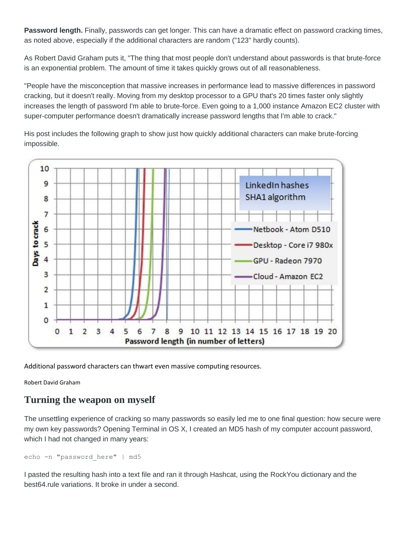**Password length.** Finally, passwords can get longer. This can have a dramatic effect on password cracking times, as noted above, especially if the additional characters are random ("123" hardly counts).

As Robert David Graham puts it, "The thing that most people don't understand about passwords is that brute-force is an exponential problem. The amount of time it takes quickly grows out of all reasonableness.

"People have the misconception that massive increases in performance lead to massive differences in password cracking, but it doesn't really. Moving from my desktop processor to a GPU that's 20 times faster only slightly increases the length of password I'm able to brute-force. Even going to a 1,000 instance Amazon EC2 cluster with super-computer performance doesn't dramatically increase password lengths that I'm able to crack."

His post includes the following graph to show just how quickly additional characters can make brute-forcing impossible.



Additional password characters can thwart even massive computing resources.

Robert David Graham

### **Turning the weapon on myself**

The unsettling experience of cracking so many passwords so easily led me to one final question: how secure were my own key passwords? Opening Terminal in OS X, I created an MD5 hash of my computer account password, which I had not changed in many years:

```
echo -n "password here" | md5
```
I pasted the resulting hash into a text file and ran it through Hashcat, using the RockYou dictionary and the best64.rule variations. It broke in under a second.